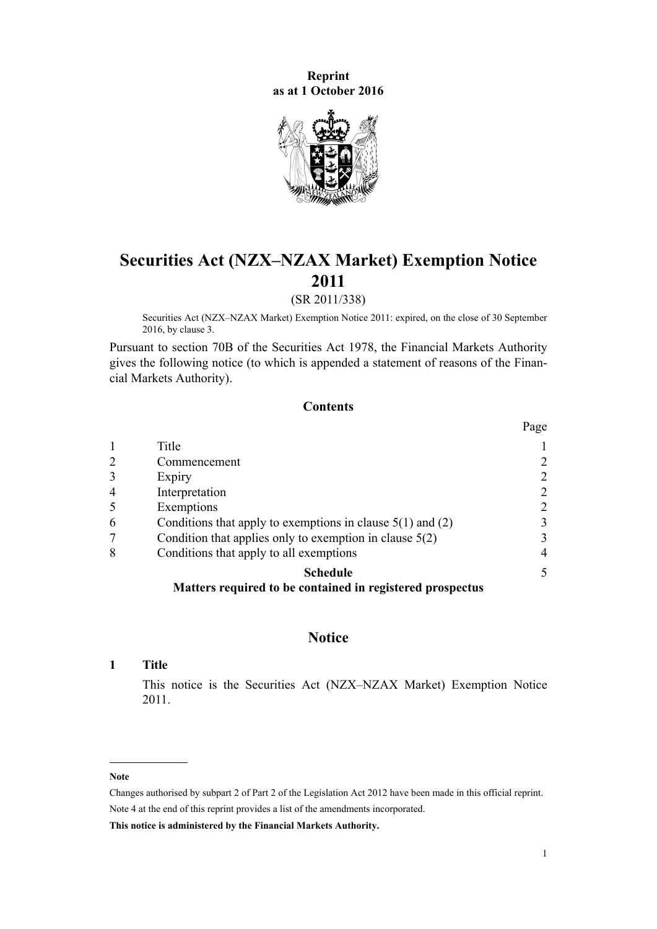**Reprint as at 1 October 2016**



# **Securities Act (NZX–NZAX Market) Exemption Notice 2011**

# (SR 2011/338)

Securities Act (NZX–NZAX Market) Exemption Notice 2011: expired, on the close of 30 September 2016, by [clause 3](#page-1-0).

Pursuant to [section 70B](http://prd-lgnz-nlb.prd.pco.net.nz/pdflink.aspx?id=DLM3727623) of the Securities Act 1978, the Financial Markets Authority gives the following notice (to which is appended a [statement of reasons](#page-21-0) of the Financial Markets Authority).

# **Contents**

|                |                                                              | Page |
|----------------|--------------------------------------------------------------|------|
|                | Title                                                        |      |
| $\overline{2}$ | Commencement                                                 | 2    |
| 3              | Expiry                                                       | 2    |
| $\overline{4}$ | Interpretation                                               | 2    |
| 5              | Exemptions                                                   | 2    |
| 6              | Conditions that apply to exemptions in clause $5(1)$ and (2) | 3    |
|                | Condition that applies only to exemption in clause $5(2)$    | 3    |
| 8              | Conditions that apply to all exemptions                      | 4    |
|                | <b>Schedule</b>                                              | 5    |
|                | Matters required to be contained in registered prospectus    |      |

#### **Notice**

#### **1 Title**

This notice is the Securities Act (NZX–NZAX Market) Exemption Notice 2011.

#### **Note**

Changes authorised by [subpart 2](http://prd-lgnz-nlb.prd.pco.net.nz/pdflink.aspx?id=DLM2998524) of Part 2 of the Legislation Act 2012 have been made in this official reprint. Note 4 at the end of this reprint provides a list of the amendments incorporated.

**This notice is administered by the Financial Markets Authority.**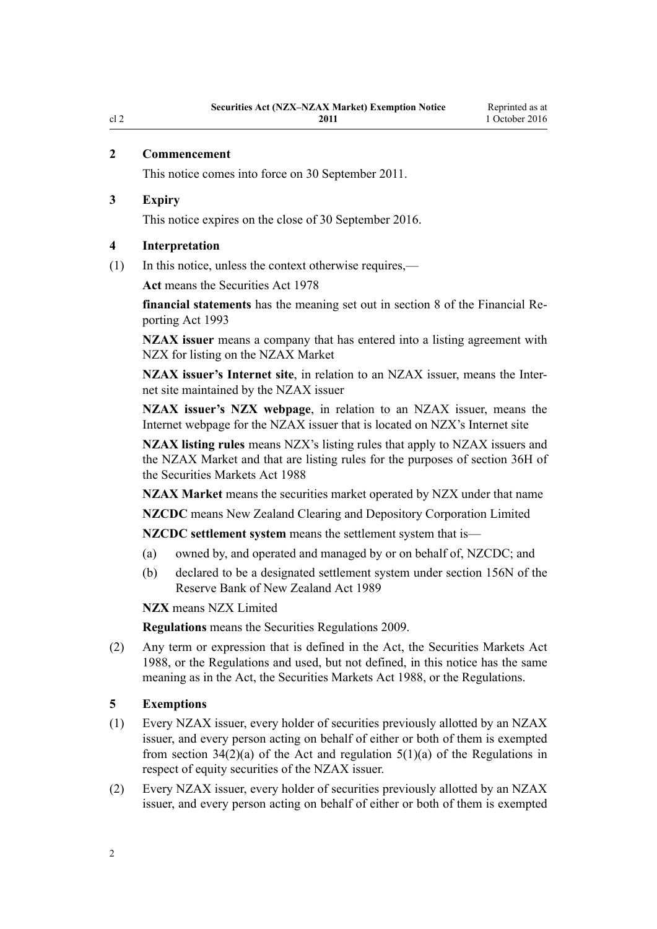# <span id="page-1-0"></span>**2 Commencement**

This notice comes into force on 30 September 2011.

#### **3 Expiry**

This notice expires on the close of 30 September 2016.

#### **4 Interpretation**

(1) In this notice, unless the context otherwise requires,—

**Act** means the [Securities Act 1978](http://prd-lgnz-nlb.prd.pco.net.nz/pdflink.aspx?id=DLM25999)

**financial statements** has the meaning set out in [section 8](http://prd-lgnz-nlb.prd.pco.net.nz/pdflink.aspx?id=DLM324914) of the Financial Reporting Act 1993

**NZAX issuer** means a company that has entered into a listing agreement with NZX for listing on the NZAX Market

**NZAX issuer's Internet site**, in relation to an NZAX issuer, means the Internet site maintained by the NZAX issuer

**NZAX issuer's NZX webpage**, in relation to an NZAX issuer, means the Internet webpage for the NZAX issuer that is located on NZX's Internet site

**NZAX listing rules** means NZX's listing rules that apply to NZAX issuers and the NZAX Market and that are listing rules for the purposes of [section 36H](http://prd-lgnz-nlb.prd.pco.net.nz/pdflink.aspx?id=DLM141346) of the Securities Markets Act 1988

**NZAX Market** means the securities market operated by NZX under that name

**NZCDC** means New Zealand Clearing and Depository Corporation Limited

**NZCDC settlement system** means the settlement system that is—

- (a) owned by, and operated and managed by or on behalf of, NZCDC; and
- (b) declared to be a designated settlement system under [section 156N](http://prd-lgnz-nlb.prd.pco.net.nz/pdflink.aspx?id=DLM202025) of the Reserve Bank of New Zealand Act 1989

**NZX** means NZX Limited

**Regulations** means the [Securities Regulations 2009](http://prd-lgnz-nlb.prd.pco.net.nz/pdflink.aspx?id=DLM2291142).

(2) Any term or expression that is defined in the Act, the [Securities Markets Act](http://prd-lgnz-nlb.prd.pco.net.nz/pdflink.aspx?id=DLM139726) [1988](http://prd-lgnz-nlb.prd.pco.net.nz/pdflink.aspx?id=DLM139726), or the [Regulations](http://prd-lgnz-nlb.prd.pco.net.nz/pdflink.aspx?id=DLM2291142) and used, but not defined, in this notice has the same meaning as in [the Act](http://prd-lgnz-nlb.prd.pco.net.nz/pdflink.aspx?id=DLM25999), the Securities Markets Act 1988, or the Regulations.

#### **5 Exemptions**

- (1) Every NZAX issuer, every holder of securities previously allotted by an NZAX issuer, and every person acting on behalf of either or both of them is exempted from section  $34(2)(a)$  of the Act and regulation  $5(1)(a)$  of the Regulations in respect of equity securities of the NZAX issuer.
- (2) Every NZAX issuer, every holder of securities previously allotted by an NZAX issuer, and every person acting on behalf of either or both of them is exempted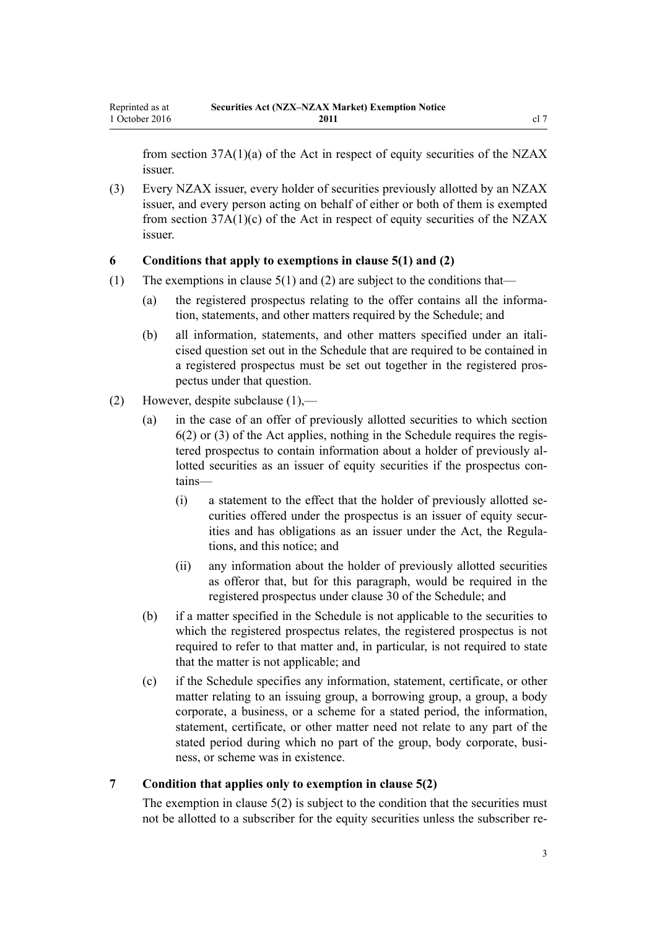<span id="page-2-0"></span>from [section 37A\(1\)\(a\)](http://prd-lgnz-nlb.prd.pco.net.nz/pdflink.aspx?id=DLM141786) of the Act in respect of equity securities of the NZAX issuer.

(3) Every NZAX issuer, every holder of securities previously allotted by an NZAX issuer, and every person acting on behalf of either or both of them is exempted from section  $37A(1)(c)$  of the Act in respect of equity securities of the NZAX issuer.

# **6 Conditions that apply to exemptions in clause 5(1) and (2)**

- (1) The exemptions in clause  $5(1)$  and (2) are subject to the conditions that—
	- (a) the registered prospectus relating to the offer contains all the information, statements, and other matters required by the [Schedule](#page-4-0); and
	- (b) all information, statements, and other matters specified under an italicised question set out in the [Schedule](#page-4-0) that are required to be contained in a registered prospectus must be set out together in the registered prospectus under that question.
- (2) However, despite subclause (1),—
	- (a) in the case of an offer of previously allotted securities to which [section](http://prd-lgnz-nlb.prd.pco.net.nz/pdflink.aspx?id=DLM27561) [6\(2\) or \(3\)](http://prd-lgnz-nlb.prd.pco.net.nz/pdflink.aspx?id=DLM27561) of the Act applies, nothing in the Schedule requires the registered prospectus to contain information about a holder of previously allotted securities as an issuer of equity securities if the prospectus contains—
		- (i) a statement to the effect that the holder of previously allotted securities offered under the prospectus is an issuer of equity securities and has obligations as an issuer under [the Act](http://prd-lgnz-nlb.prd.pco.net.nz/pdflink.aspx?id=DLM25999), the Regulations, and this notice; and
		- (ii) any information about the holder of previously allotted securities as offeror that, but for this paragraph, would be required in the registered prospectus under [clause 30](#page-20-0) of the Schedule; and
	- (b) if a matter specified in the [Schedule](#page-4-0) is not applicable to the securities to which the registered prospectus relates, the registered prospectus is not required to refer to that matter and, in particular, is not required to state that the matter is not applicable; and
	- (c) if the [Schedule](#page-4-0) specifies any information, statement, certificate, or other matter relating to an issuing group, a borrowing group, a group, a body corporate, a business, or a scheme for a stated period, the information, statement, certificate, or other matter need not relate to any part of the stated period during which no part of the group, body corporate, business, or scheme was in existence.

#### **7 Condition that applies only to exemption in clause 5(2)**

The exemption in clause  $5(2)$  is subject to the condition that the securities must not be allotted to a subscriber for the equity securities unless the subscriber re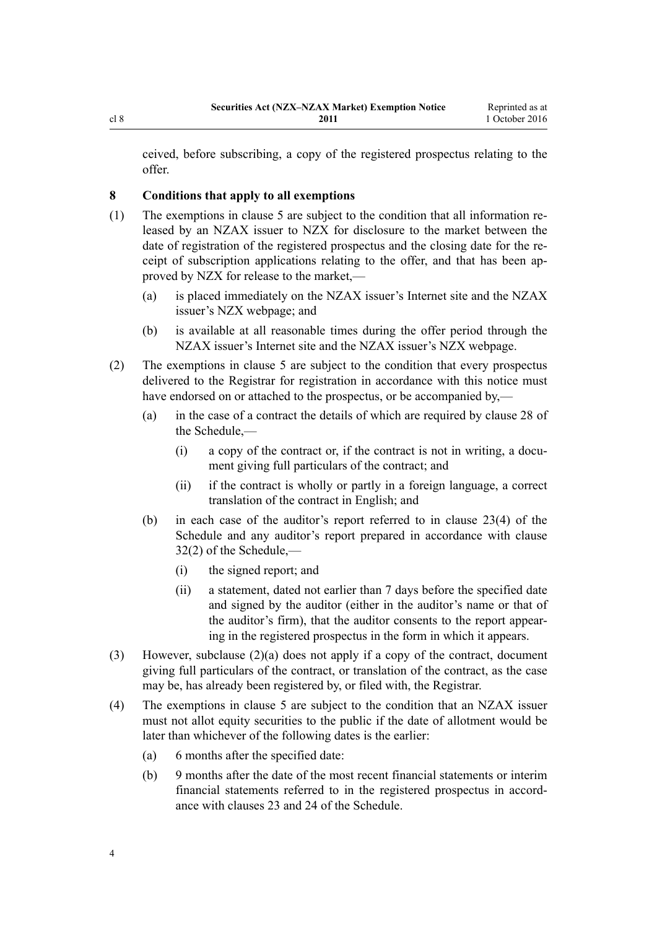<span id="page-3-0"></span>ceived, before subscribing, a copy of the registered prospectus relating to the offer.

# **8 Conditions that apply to all exemptions**

- (1) The exemptions in [clause 5](#page-1-0) are subject to the condition that all information released by an NZAX issuer to NZX for disclosure to the market between the date of registration of the registered prospectus and the closing date for the receipt of subscription applications relating to the offer, and that has been approved by NZX for release to the market,—
	- (a) is placed immediately on the NZAX issuer's Internet site and the NZAX issuer's NZX webpage; and
	- (b) is available at all reasonable times during the offer period through the NZAX issuer's Internet site and the NZAX issuer's NZX webpage.
- (2) The exemptions in [clause 5](#page-1-0) are subject to the condition that every prospectus delivered to the Registrar for registration in accordance with this notice must have endorsed on or attached to the prospectus, or be accompanied by,—
	- (a) in the case of a contract the details of which are required by [clause 28](#page-20-0) of the Schedule,—
		- (i) a copy of the contract or, if the contract is not in writing, a document giving full particulars of the contract; and
		- (ii) if the contract is wholly or partly in a foreign language, a correct translation of the contract in English; and
	- (b) in each case of the auditor's report referred to in [clause 23\(4\)](#page-16-0) of the Schedule and any auditor's report prepared in accordance with [clause](#page-20-0) [32\(2\)](#page-20-0) of the Schedule,—
		- (i) the signed report; and
		- (ii) a statement, dated not earlier than 7 days before the specified date and signed by the auditor (either in the auditor's name or that of the auditor's firm), that the auditor consents to the report appearing in the registered prospectus in the form in which it appears.
- (3) However, subclause (2)(a) does not apply if a copy of the contract, document giving full particulars of the contract, or translation of the contract, as the case may be, has already been registered by, or filed with, the Registrar.
- (4) The exemptions in [clause 5](#page-1-0) are subject to the condition that an NZAX issuer must not allot equity securities to the public if the date of allotment would be later than whichever of the following dates is the earlier:
	- (a) 6 months after the specified date:
	- (b) 9 months after the date of the most recent financial statements or interim financial statements referred to in the registered prospectus in accordance with [clauses 23](#page-16-0) and [24](#page-16-0) of the Schedule.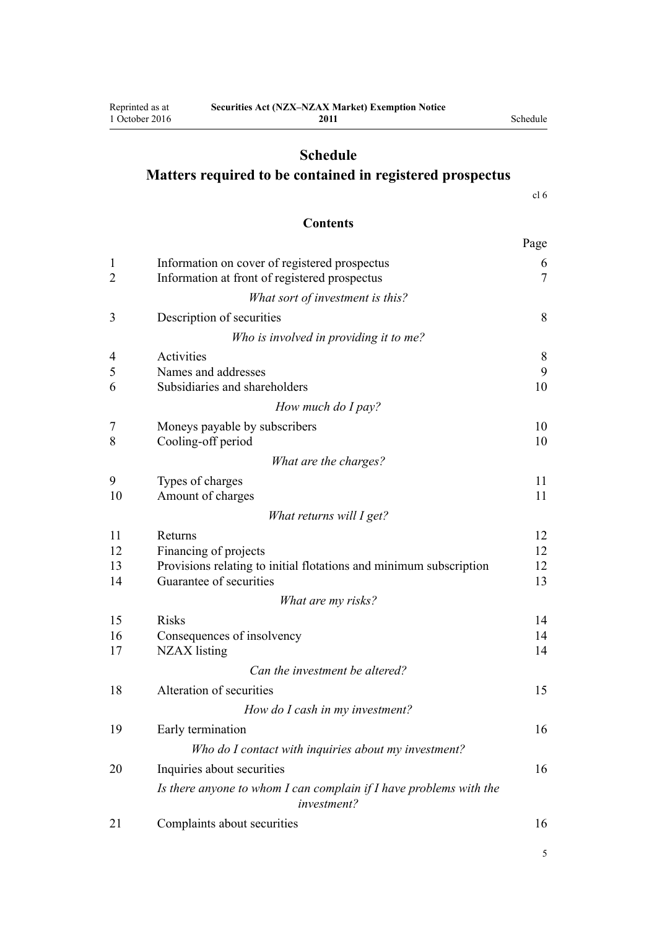#### **2011** Schedule

# <span id="page-4-0"></span>**Schedule Matters required to be contained in registered prospectus**

[cl 6](#page-9-0)

# **Contents**

|                |                                                                                   | Page   |
|----------------|-----------------------------------------------------------------------------------|--------|
| $\mathbf{1}$   | Information on cover of registered prospectus                                     | 6      |
| $\overline{2}$ | Information at front of registered prospectus                                     | $\tau$ |
|                | What sort of investment is this?                                                  |        |
| 3              | Description of securities                                                         | 8      |
|                | Who is involved in providing it to me?                                            |        |
| $\overline{4}$ | Activities                                                                        | 8      |
| 5              | Names and addresses                                                               | 9      |
| 6              | Subsidiaries and shareholders                                                     | 10     |
|                | How much do I pay?                                                                |        |
| 7              | Moneys payable by subscribers                                                     | 10     |
| 8              | Cooling-off period                                                                | 10     |
|                | What are the charges?                                                             |        |
| 9              | Types of charges                                                                  | 11     |
| 10             | Amount of charges                                                                 | 11     |
|                | What returns will I get?                                                          |        |
| 11             | Returns                                                                           | 12     |
| 12             | Financing of projects                                                             | 12     |
| 13             | Provisions relating to initial flotations and minimum subscription                | 12     |
| 14             | Guarantee of securities                                                           | 13     |
|                | What are my risks?                                                                |        |
| 15             | Risks                                                                             | 14     |
| 16             | Consequences of insolvency                                                        | 14     |
| 17             | <b>NZAX</b> listing                                                               | 14     |
|                | Can the investment be altered?                                                    |        |
| 18             | Alteration of securities                                                          | 15     |
|                | How do I cash in my investment?                                                   |        |
| 19             | Early termination                                                                 | 16     |
|                | Who do I contact with inquiries about my investment?                              |        |
| 20             | Inquiries about securities                                                        | 16     |
|                | Is there anyone to whom I can complain if I have problems with the<br>investment? |        |
| 21             | Complaints about securities                                                       | 16     |
|                |                                                                                   |        |

5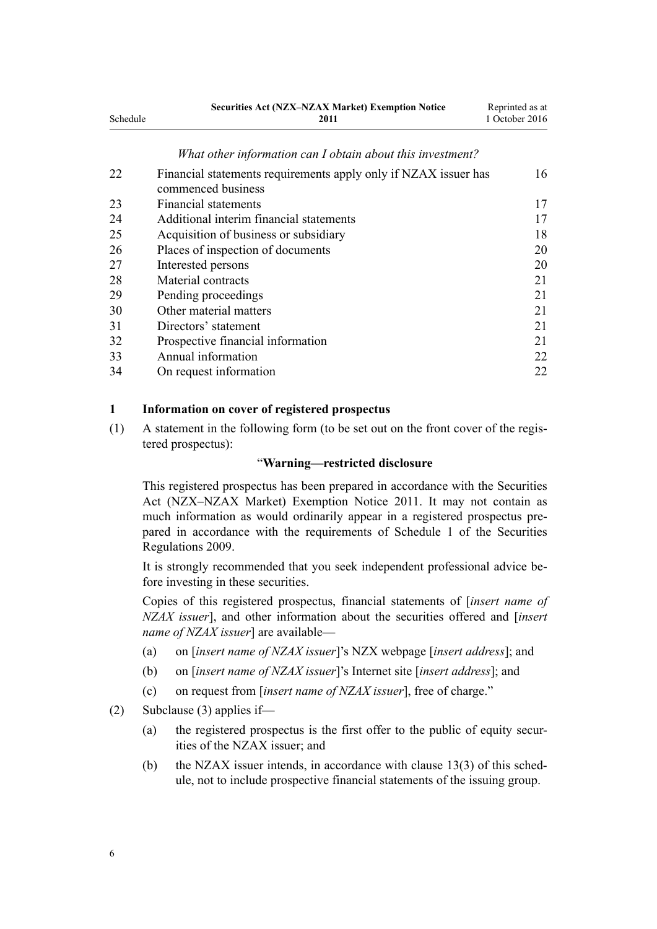<span id="page-5-0"></span>

|          | <b>Securities Act (NZX–NZAX Market) Exemption Notice</b> | Reprinted as at |
|----------|----------------------------------------------------------|-----------------|
| Schedule | 2011                                                     | 1 October 2016  |
|          |                                                          |                 |

#### *[What other information can I obtain about this investment?](#page-15-0)*

| 22 | Financial statements requirements apply only if NZAX issuer has |    |  |
|----|-----------------------------------------------------------------|----|--|
|    | commenced business                                              |    |  |
| 23 | Financial statements                                            | 17 |  |
| 24 | Additional interim financial statements                         |    |  |
| 25 | Acquisition of business or subsidiary                           | 18 |  |
| 26 | Places of inspection of documents                               | 20 |  |
| 27 | Interested persons                                              | 20 |  |
| 28 | Material contracts                                              | 21 |  |
| 29 | Pending proceedings                                             | 21 |  |
| 30 | Other material matters                                          | 21 |  |
| 31 | Directors' statement                                            | 21 |  |
| 32 | Prospective financial information                               | 21 |  |
| 33 | Annual information                                              | 22 |  |
| 34 | On request information                                          | 22 |  |

#### **1 Information on cover of registered prospectus**

(1) A statement in the following form (to be set out on the front cover of the registered prospectus):

#### "**Warning—restricted disclosure**

This registered prospectus has been prepared in accordance with the Securities Act (NZX–NZAX Market) Exemption Notice 2011. It may not contain as much information as would ordinarily appear in a registered prospectus prepared in accordance with the requirements of [Schedule 1](http://prd-lgnz-nlb.prd.pco.net.nz/pdflink.aspx?id=DLM2284210) of the Securities Regulations 2009.

It is strongly recommended that you seek independent professional advice before investing in these securities.

Copies of this registered prospectus, financial statements of [*insert name of NZAX issuer*], and other information about the securities offered and [*insert name of NZAX issuer*] are available—

- (a) on [*insert name of NZAX issuer*]'s NZX webpage [*insert address*]; and
- (b) on [*insert name of NZAX issuer*]'s Internet site [*insert address*]; and
- (c) on request from [*insert name of NZAX issuer*], free of charge."
- (2) Subclause (3) applies if—
	- (a) the registered prospectus is the first offer to the public of equity securities of the NZAX issuer; and
	- (b) the NZAX issuer intends, in accordance with [clause 13\(3\)](#page-11-0) of this schedule, not to include prospective financial statements of the issuing group.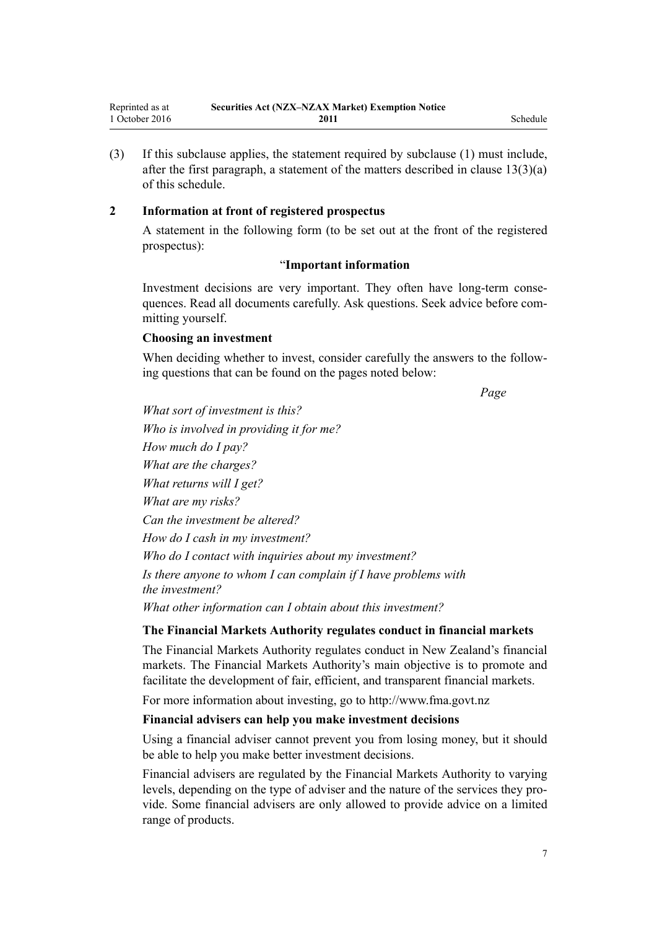<span id="page-6-0"></span>(3) If this subclause applies, the statement required by subclause (1) must include, after the first paragraph, a statement of the matters described in clause  $13(3)(a)$ of this schedule.

## **2 Information at front of registered prospectus**

A statement in the following form (to be set out at the front of the registered prospectus):

# "**Important information**

Investment decisions are very important. They often have long-term consequences. Read all documents carefully. Ask questions. Seek advice before committing yourself.

#### **Choosing an investment**

When deciding whether to invest, consider carefully the answers to the following questions that can be found on the pages noted below:

*Page*

*What sort of investment is this? Who is involved in providing it for me? How much do I pay? What are the charges? What returns will I get? What are my risks? Can the investment be altered? How do I cash in my investment? Who do I contact with inquiries about my investment? Is there anyone to whom I can complain if I have problems with the investment? What other information can I obtain about this investment?*

#### **The Financial Markets Authority regulates conduct in financial markets**

The Financial Markets Authority regulates conduct in New Zealand's financial markets. The Financial Markets Authority's main objective is to promote and facilitate the development of fair, efficient, and transparent financial markets.

For more information about investing, go to http://www.fma.govt.nz

#### **Financial advisers can help you make investment decisions**

Using a financial adviser cannot prevent you from losing money, but it should be able to help you make better investment decisions.

Financial advisers are regulated by the Financial Markets Authority to varying levels, depending on the type of adviser and the nature of the services they provide. Some financial advisers are only allowed to provide advice on a limited range of products.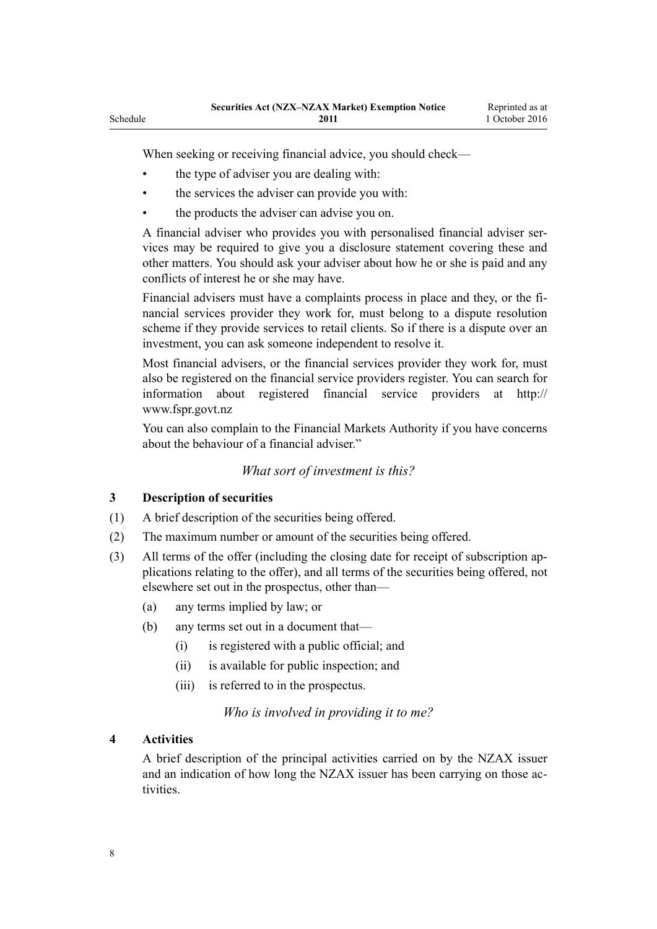When seeking or receiving financial advice, you should check—

- the type of adviser you are dealing with:
- the services the adviser can provide you with:
- the products the adviser can advise you on.

A financial adviser who provides you with personalised financial adviser services may be required to give you a disclosure statement covering these and other matters. You should ask your adviser about how he or she is paid and any conflicts of interest he or she may have.

Financial advisers must have a complaints process in place and they, or the financial services provider they work for, must belong to a dispute resolution scheme if they provide services to retail clients. So if there is a dispute over an investment, you can ask someone independent to resolve it.

Most financial advisers, or the financial services provider they work for, must also be registered on the financial service providers register. You can search for information about registered financial service providers at http:// www.fspr.govt.nz

You can also complain to the Financial Markets Authority if you have concerns about the behaviour of a financial adviser."

#### *What sort of investment is this?*

#### **3 Description of securities**

<span id="page-7-0"></span>Schedule

- (1) A brief description of the securities being offered.
- (2) The maximum number or amount of the securities being offered.
- (3) All terms of the offer (including the closing date for receipt of subscription applications relating to the offer), and all terms of the securities being offered, not elsewhere set out in the prospectus, other than—
	- (a) any terms implied by law; or
	- (b) any terms set out in a document that—
		- (i) is registered with a public official; and
		- (ii) is available for public inspection; and
		- (iii) is referred to in the prospectus.

*Who is involved in providing it to me?*

#### **4 Activities**

A brief description of the principal activities carried on by the NZAX issuer and an indication of how long the NZAX issuer has been carrying on those activities.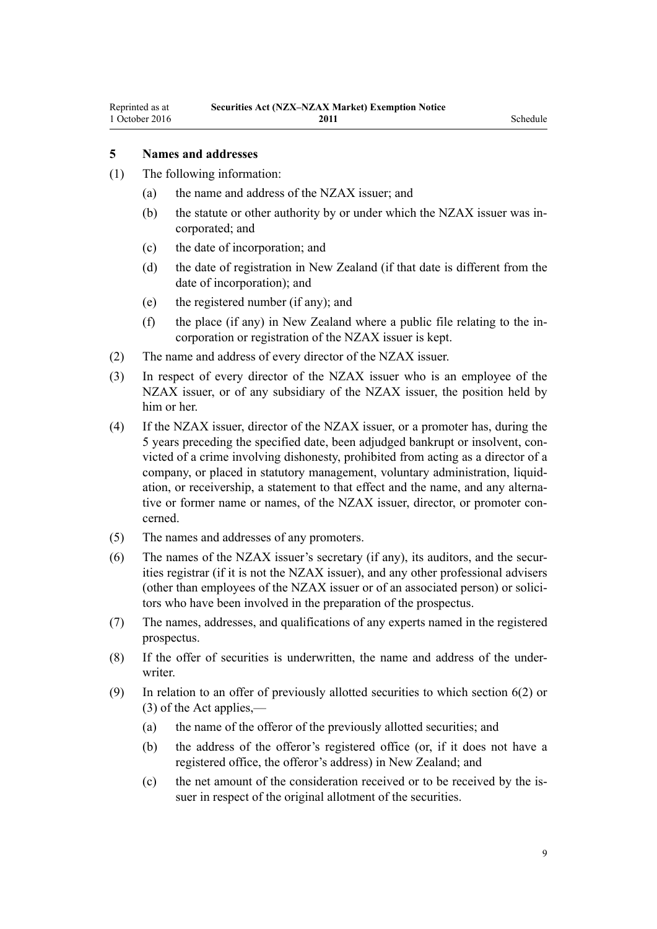# <span id="page-8-0"></span>**5 Names and addresses**

- (1) The following information:
	- (a) the name and address of the NZAX issuer; and
	- (b) the statute or other authority by or under which the NZAX issuer was incorporated; and
	- (c) the date of incorporation; and
	- (d) the date of registration in New Zealand (if that date is different from the date of incorporation); and
	- (e) the registered number (if any); and
	- (f) the place (if any) in New Zealand where a public file relating to the incorporation or registration of the NZAX issuer is kept.
- (2) The name and address of every director of the NZAX issuer.
- (3) In respect of every director of the NZAX issuer who is an employee of the NZAX issuer, or of any subsidiary of the NZAX issuer, the position held by him or her.
- (4) If the NZAX issuer, director of the NZAX issuer, or a promoter has, during the 5 years preceding the specified date, been adjudged bankrupt or insolvent, convicted of a crime involving dishonesty, prohibited from acting as a director of a company, or placed in statutory management, voluntary administration, liquidation, or receivership, a statement to that effect and the name, and any alternative or former name or names, of the NZAX issuer, director, or promoter concerned.
- (5) The names and addresses of any promoters.
- (6) The names of the NZAX issuer's secretary (if any), its auditors, and the securities registrar (if it is not the NZAX issuer), and any other professional advisers (other than employees of the NZAX issuer or of an associated person) or solicitors who have been involved in the preparation of the prospectus.
- (7) The names, addresses, and qualifications of any experts named in the registered prospectus.
- (8) If the offer of securities is underwritten, the name and address of the underwriter
- (9) In relation to an offer of previously allotted securities to which [section 6\(2\) or](http://prd-lgnz-nlb.prd.pco.net.nz/pdflink.aspx?id=DLM27561) [\(3\)](http://prd-lgnz-nlb.prd.pco.net.nz/pdflink.aspx?id=DLM27561) of the Act applies,—
	- (a) the name of the offeror of the previously allotted securities; and
	- (b) the address of the offeror's registered office (or, if it does not have a registered office, the offeror's address) in New Zealand; and
	- (c) the net amount of the consideration received or to be received by the issuer in respect of the original allotment of the securities.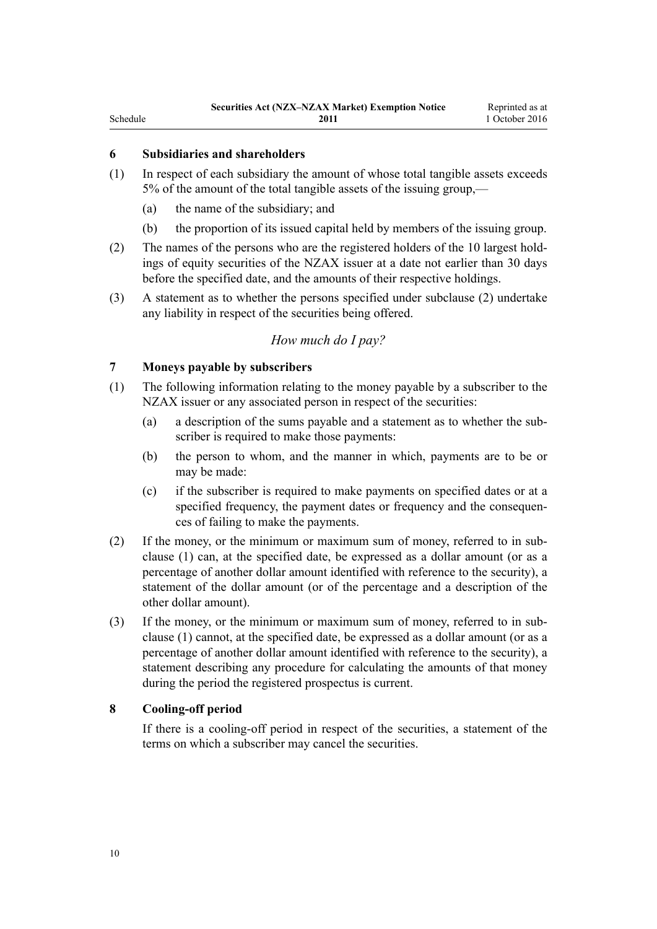# <span id="page-9-0"></span>Schedule

#### **6 Subsidiaries and shareholders**

- (1) In respect of each subsidiary the amount of whose total tangible assets exceeds 5% of the amount of the total tangible assets of the issuing group,—
	- (a) the name of the subsidiary; and
	- (b) the proportion of its issued capital held by members of the issuing group.
- (2) The names of the persons who are the registered holders of the 10 largest holdings of equity securities of the NZAX issuer at a date not earlier than 30 days before the specified date, and the amounts of their respective holdings.
- (3) A statement as to whether the persons specified under subclause (2) undertake any liability in respect of the securities being offered.

#### *How much do I pay?*

#### **7 Moneys payable by subscribers**

- (1) The following information relating to the money payable by a subscriber to the NZAX issuer or any associated person in respect of the securities:
	- (a) a description of the sums payable and a statement as to whether the subscriber is required to make those payments:
	- (b) the person to whom, and the manner in which, payments are to be or may be made:
	- (c) if the subscriber is required to make payments on specified dates or at a specified frequency, the payment dates or frequency and the consequences of failing to make the payments.
- (2) If the money, or the minimum or maximum sum of money, referred to in subclause (1) can, at the specified date, be expressed as a dollar amount (or as a percentage of another dollar amount identified with reference to the security), a statement of the dollar amount (or of the percentage and a description of the other dollar amount).
- (3) If the money, or the minimum or maximum sum of money, referred to in subclause (1) cannot, at the specified date, be expressed as a dollar amount (or as a percentage of another dollar amount identified with reference to the security), a statement describing any procedure for calculating the amounts of that money during the period the registered prospectus is current.

#### **8 Cooling-off period**

If there is a cooling-off period in respect of the securities, a statement of the terms on which a subscriber may cancel the securities.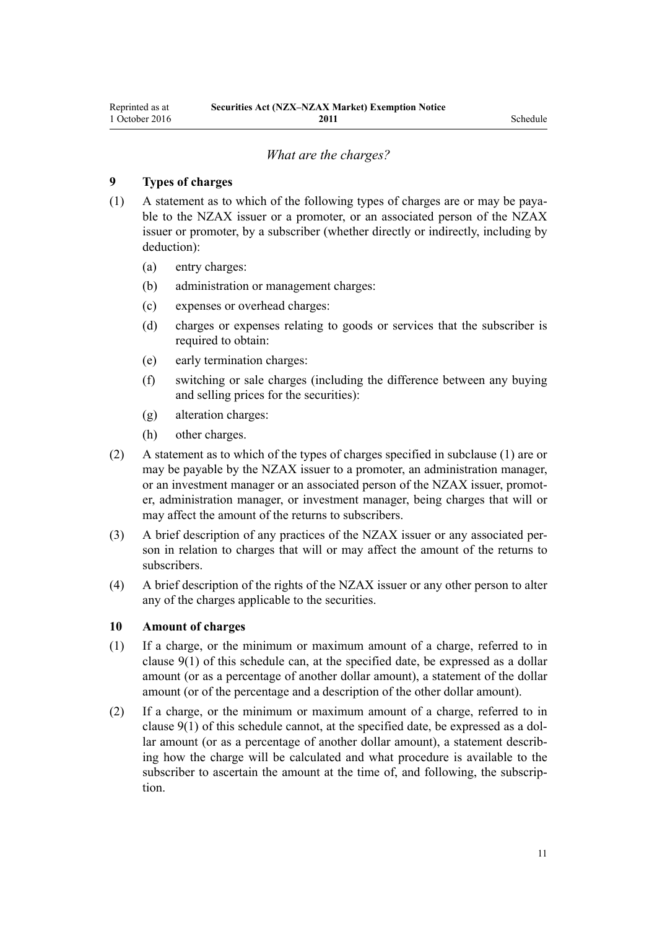#### *What are the charges?*

#### <span id="page-10-0"></span>**9 Types of charges**

- (1) A statement as to which of the following types of charges are or may be payable to the NZAX issuer or a promoter, or an associated person of the NZAX issuer or promoter, by a subscriber (whether directly or indirectly, including by deduction):
	- (a) entry charges:
	- (b) administration or management charges:
	- (c) expenses or overhead charges:
	- (d) charges or expenses relating to goods or services that the subscriber is required to obtain:
	- (e) early termination charges:
	- (f) switching or sale charges (including the difference between any buying and selling prices for the securities):
	- (g) alteration charges:
	- (h) other charges.
- (2) A statement as to which of the types of charges specified in subclause (1) are or may be payable by the NZAX issuer to a promoter, an administration manager, or an investment manager or an associated person of the NZAX issuer, promoter, administration manager, or investment manager, being charges that will or may affect the amount of the returns to subscribers.
- (3) A brief description of any practices of the NZAX issuer or any associated person in relation to charges that will or may affect the amount of the returns to subscribers.
- (4) A brief description of the rights of the NZAX issuer or any other person to alter any of the charges applicable to the securities.

#### **10 Amount of charges**

- (1) If a charge, or the minimum or maximum amount of a charge, referred to in clause 9(1) of this schedule can, at the specified date, be expressed as a dollar amount (or as a percentage of another dollar amount), a statement of the dollar amount (or of the percentage and a description of the other dollar amount).
- (2) If a charge, or the minimum or maximum amount of a charge, referred to in clause 9(1) of this schedule cannot, at the specified date, be expressed as a dollar amount (or as a percentage of another dollar amount), a statement describing how the charge will be calculated and what procedure is available to the subscriber to ascertain the amount at the time of, and following, the subscription.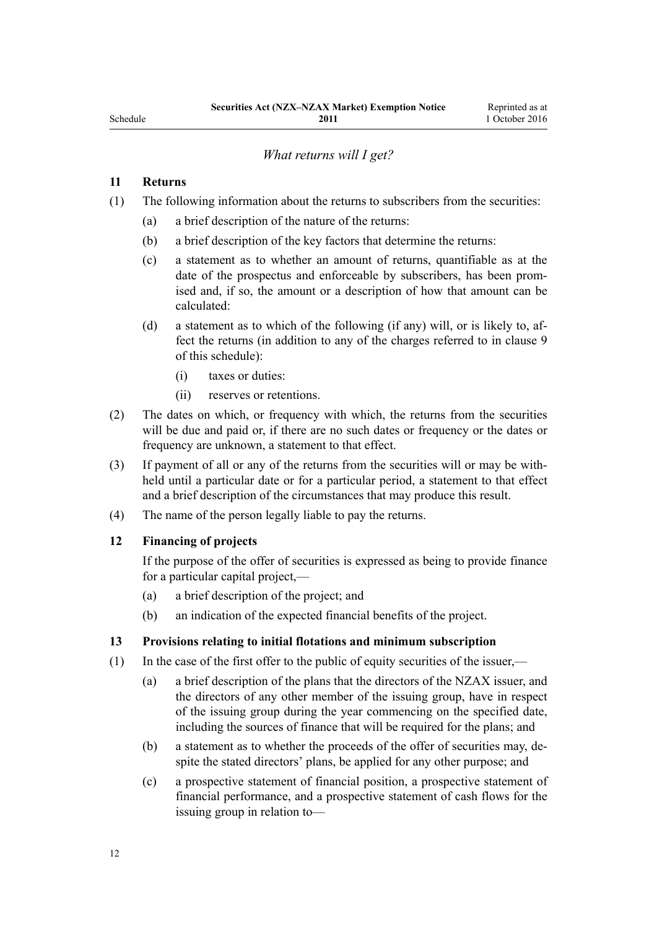# *What returns will I get?*

#### <span id="page-11-0"></span>**11 Returns**

- (1) The following information about the returns to subscribers from the securities:
	- (a) a brief description of the nature of the returns:
	- (b) a brief description of the key factors that determine the returns:
	- (c) a statement as to whether an amount of returns, quantifiable as at the date of the prospectus and enforceable by subscribers, has been promised and, if so, the amount or a description of how that amount can be calculated:
	- (d) a statement as to which of the following (if any) will, or is likely to, affect the returns (in addition to any of the charges referred to in [clause 9](#page-10-0) of this schedule):
		- (i) taxes or duties:
		- (ii) reserves or retentions.
- (2) The dates on which, or frequency with which, the returns from the securities will be due and paid or, if there are no such dates or frequency or the dates or frequency are unknown, a statement to that effect.
- (3) If payment of all or any of the returns from the securities will or may be withheld until a particular date or for a particular period, a statement to that effect and a brief description of the circumstances that may produce this result.
- (4) The name of the person legally liable to pay the returns.

### **12 Financing of projects**

If the purpose of the offer of securities is expressed as being to provide finance for a particular capital project,—

- (a) a brief description of the project; and
- (b) an indication of the expected financial benefits of the project.

#### **13 Provisions relating to initial flotations and minimum subscription**

- (1) In the case of the first offer to the public of equity securities of the issuer,—
	- (a) a brief description of the plans that the directors of the NZAX issuer, and the directors of any other member of the issuing group, have in respect of the issuing group during the year commencing on the specified date, including the sources of finance that will be required for the plans; and
	- (b) a statement as to whether the proceeds of the offer of securities may, despite the stated directors' plans, be applied for any other purpose; and
	- (c) a prospective statement of financial position, a prospective statement of financial performance, and a prospective statement of cash flows for the issuing group in relation to—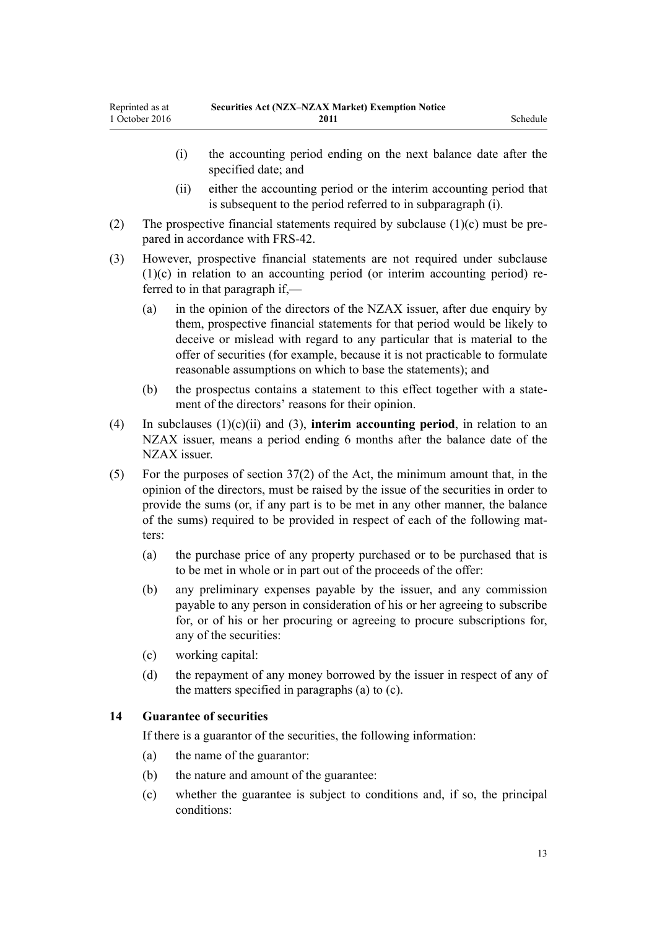- <span id="page-12-0"></span>(i) the accounting period ending on the next balance date after the specified date; and
- (ii) either the accounting period or the interim accounting period that is subsequent to the period referred to in subparagraph (i).
- (2) The prospective financial statements required by subclause  $(1)(c)$  must be prepared in accordance with FRS-42.
- (3) However, prospective financial statements are not required under subclause (1)(c) in relation to an accounting period (or interim accounting period) referred to in that paragraph if,—
	- (a) in the opinion of the directors of the NZAX issuer, after due enquiry by them, prospective financial statements for that period would be likely to deceive or mislead with regard to any particular that is material to the offer of securities (for example, because it is not practicable to formulate reasonable assumptions on which to base the statements); and
	- (b) the prospectus contains a statement to this effect together with a statement of the directors' reasons for their opinion.
- (4) In subclauses (1)(c)(ii) and (3), **interim accounting period**, in relation to an NZAX issuer, means a period ending 6 months after the balance date of the NZAX issuer.
- (5) For the purposes of [section 37\(2\)](http://prd-lgnz-nlb.prd.pco.net.nz/pdflink.aspx?id=DLM28302) of the Act, the minimum amount that, in the opinion of the directors, must be raised by the issue of the securities in order to provide the sums (or, if any part is to be met in any other manner, the balance of the sums) required to be provided in respect of each of the following matters:
	- (a) the purchase price of any property purchased or to be purchased that is to be met in whole or in part out of the proceeds of the offer:
	- (b) any preliminary expenses payable by the issuer, and any commission payable to any person in consideration of his or her agreeing to subscribe for, or of his or her procuring or agreeing to procure subscriptions for, any of the securities:
	- (c) working capital:
	- (d) the repayment of any money borrowed by the issuer in respect of any of the matters specified in paragraphs (a) to (c).

## **14 Guarantee of securities**

If there is a guarantor of the securities, the following information:

- (a) the name of the guarantor:
- (b) the nature and amount of the guarantee:
- (c) whether the guarantee is subject to conditions and, if so, the principal conditions: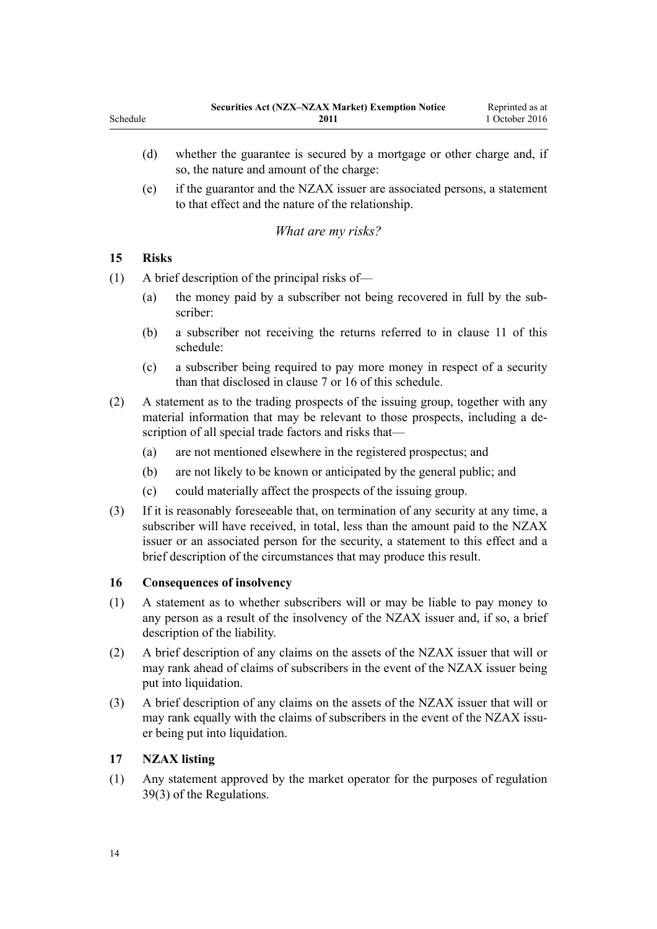- <span id="page-13-0"></span>(d) whether the guarantee is secured by a mortgage or other charge and, if so, the nature and amount of the charge:
- (e) if the guarantor and the NZAX issuer are associated persons, a statement to that effect and the nature of the relationship.

# *What are my risks?*

# **15 Risks**

(1) A brief description of the principal risks of—

- (a) the money paid by a subscriber not being recovered in full by the subscriber:
- (b) a subscriber not receiving the returns referred to in [clause 11](#page-11-0) of this schedule:
- (c) a subscriber being required to pay more money in respect of a security than that disclosed in [clause 7](#page-9-0) or 16 of this schedule.
- (2) A statement as to the trading prospects of the issuing group, together with any material information that may be relevant to those prospects, including a description of all special trade factors and risks that—
	- (a) are not mentioned elsewhere in the registered prospectus; and
	- (b) are not likely to be known or anticipated by the general public; and
	- (c) could materially affect the prospects of the issuing group.
- (3) If it is reasonably foreseeable that, on termination of any security at any time, a subscriber will have received, in total, less than the amount paid to the NZAX issuer or an associated person for the security, a statement to this effect and a brief description of the circumstances that may produce this result.

# **16 Consequences of insolvency**

- (1) A statement as to whether subscribers will or may be liable to pay money to any person as a result of the insolvency of the NZAX issuer and, if so, a brief description of the liability.
- (2) A brief description of any claims on the assets of the NZAX issuer that will or may rank ahead of claims of subscribers in the event of the NZAX issuer being put into liquidation.
- (3) A brief description of any claims on the assets of the NZAX issuer that will or may rank equally with the claims of subscribers in the event of the NZAX issuer being put into liquidation.

# **17 NZAX listing**

(1) Any statement approved by the market operator for the purposes of [regulation](http://prd-lgnz-nlb.prd.pco.net.nz/pdflink.aspx?id=DLM2291561) [39\(3\)](http://prd-lgnz-nlb.prd.pco.net.nz/pdflink.aspx?id=DLM2291561) of the Regulations.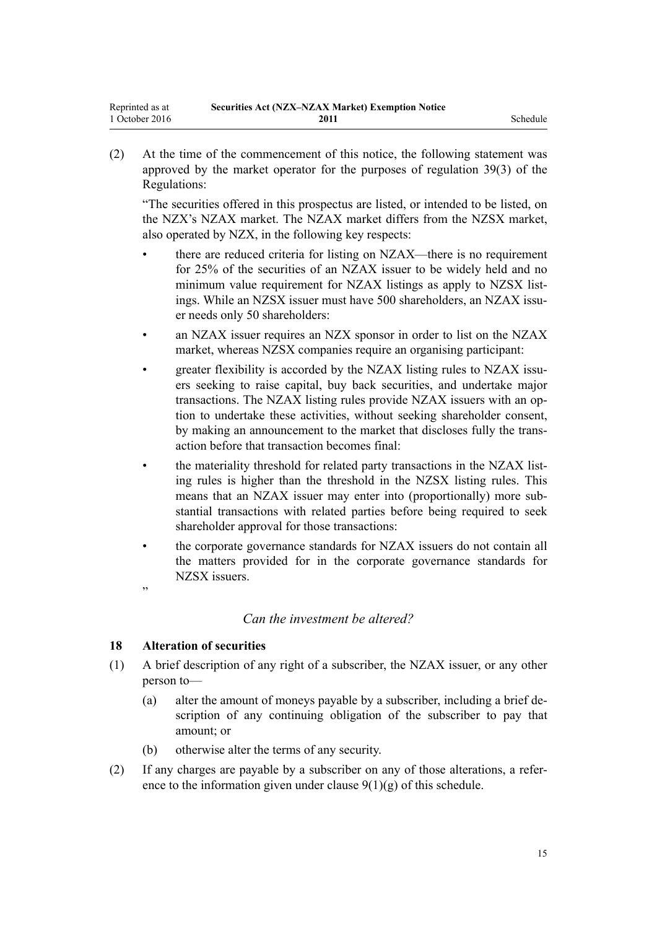<span id="page-14-0"></span>(2) At the time of the commencement of this notice, the following statement was approved by the market operator for the purposes of [regulation 39\(3\)](http://prd-lgnz-nlb.prd.pco.net.nz/pdflink.aspx?id=DLM2291561) of the Regulations:

"The securities offered in this prospectus are listed, or intended to be listed, on the NZX's NZAX market. The NZAX market differs from the NZSX market, also operated by NZX, in the following key respects:

- there are reduced criteria for listing on NZAX—there is no requirement for 25% of the securities of an NZAX issuer to be widely held and no minimum value requirement for NZAX listings as apply to NZSX listings. While an NZSX issuer must have 500 shareholders, an NZAX issuer needs only 50 shareholders:
- an NZAX issuer requires an NZX sponsor in order to list on the NZAX market, whereas NZSX companies require an organising participant:
- greater flexibility is accorded by the NZAX listing rules to NZAX issuers seeking to raise capital, buy back securities, and undertake major transactions. The NZAX listing rules provide NZAX issuers with an option to undertake these activities, without seeking shareholder consent, by making an announcement to the market that discloses fully the transaction before that transaction becomes final:
- the materiality threshold for related party transactions in the NZAX listing rules is higher than the threshold in the NZSX listing rules. This means that an NZAX issuer may enter into (proportionally) more substantial transactions with related parties before being required to seek shareholder approval for those transactions:
- the corporate governance standards for NZAX issuers do not contain all the matters provided for in the corporate governance standards for NZSX issuers.

#### *Can the investment be altered?*

### **18 Alteration of securities**

"

- (1) A brief description of any right of a subscriber, the NZAX issuer, or any other person to—
	- (a) alter the amount of moneys payable by a subscriber, including a brief description of any continuing obligation of the subscriber to pay that amount; or
	- (b) otherwise alter the terms of any security.
- (2) If any charges are payable by a subscriber on any of those alterations, a reference to the information given under clause  $9(1)(g)$  of this schedule.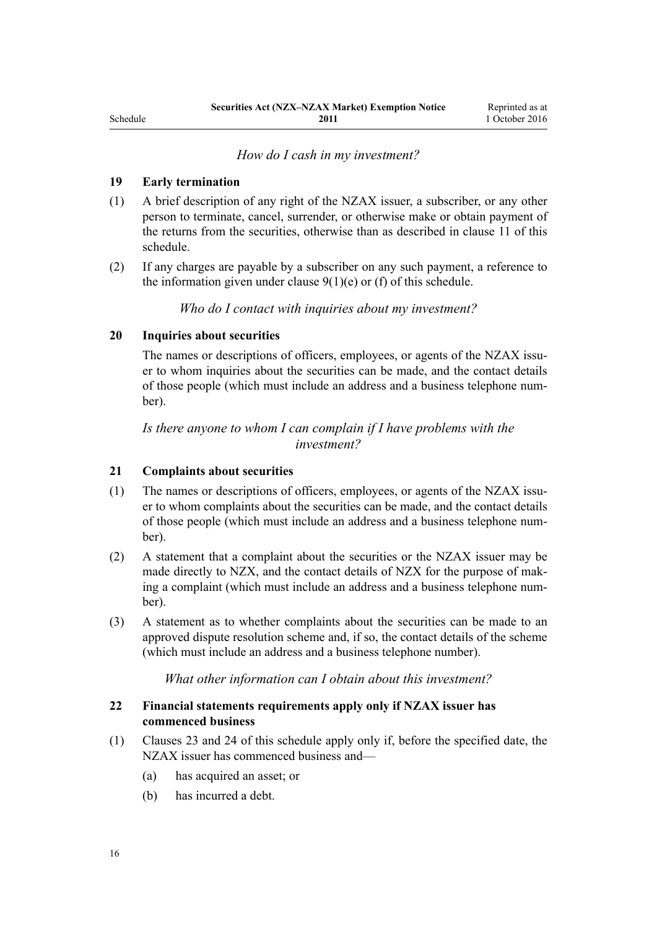*How do I cash in my investment?*

### <span id="page-15-0"></span>**19 Early termination**

- (1) A brief description of any right of the NZAX issuer, a subscriber, or any other person to terminate, cancel, surrender, or otherwise make or obtain payment of the returns from the securities, otherwise than as described in [clause 11](#page-11-0) of this schedule.
- (2) If any charges are payable by a subscriber on any such payment, a reference to the information given under clause  $9(1)(e)$  or (f) of this schedule.

*Who do I contact with inquiries about my investment?*

## **20 Inquiries about securities**

The names or descriptions of officers, employees, or agents of the NZAX issuer to whom inquiries about the securities can be made, and the contact details of those people (which must include an address and a business telephone number).

*Is there anyone to whom I can complain if I have problems with the investment?*

#### **21 Complaints about securities**

- (1) The names or descriptions of officers, employees, or agents of the NZAX issuer to whom complaints about the securities can be made, and the contact details of those people (which must include an address and a business telephone number).
- (2) A statement that a complaint about the securities or the NZAX issuer may be made directly to NZX, and the contact details of NZX for the purpose of making a complaint (which must include an address and a business telephone number).
- (3) A statement as to whether complaints about the securities can be made to an approved dispute resolution scheme and, if so, the contact details of the scheme (which must include an address and a business telephone number).

*What other information can I obtain about this investment?*

# **22 Financial statements requirements apply only if NZAX issuer has commenced business**

- (1) [Clauses 23](#page-16-0) and [24](#page-16-0) of this schedule apply only if, before the specified date, the NZAX issuer has commenced business and—
	- (a) has acquired an asset; or
	- (b) has incurred a debt.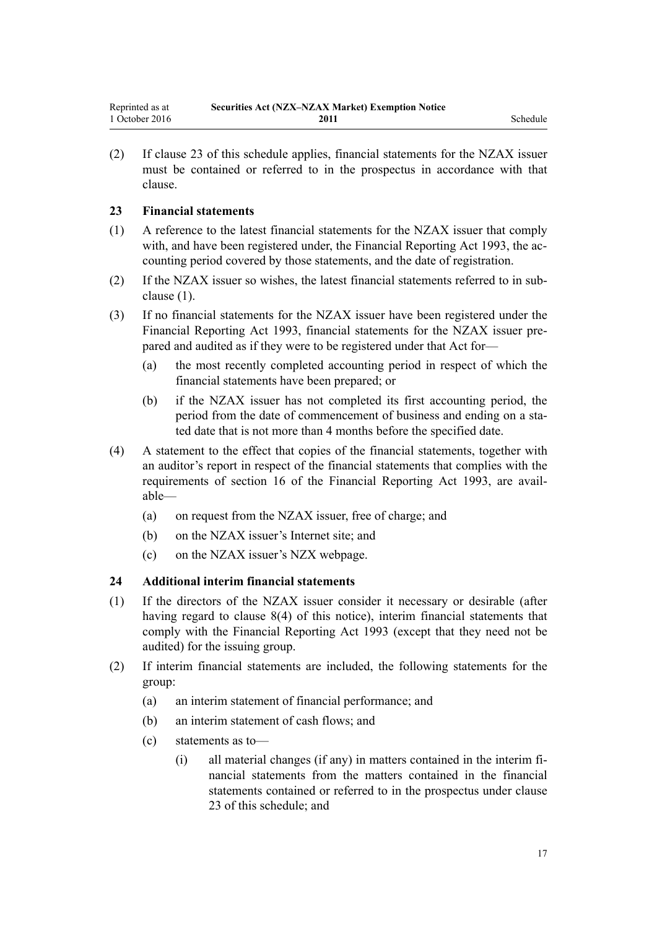<span id="page-16-0"></span>(2) If clause 23 of this schedule applies, financial statements for the NZAX issuer must be contained or referred to in the prospectus in accordance with that clause.

# **23 Financial statements**

- (1) A reference to the latest financial statements for the NZAX issuer that comply with, and have been registered under, the [Financial Reporting Act 1993](http://prd-lgnz-nlb.prd.pco.net.nz/pdflink.aspx?id=DLM323597), the accounting period covered by those statements, and the date of registration.
- (2) If the NZAX issuer so wishes, the latest financial statements referred to in subclause (1).
- (3) If no financial statements for the NZAX issuer have been registered under the [Financial Reporting Act 1993](http://prd-lgnz-nlb.prd.pco.net.nz/pdflink.aspx?id=DLM323597), financial statements for the NZAX issuer prepared and audited as if they were to be registered under that Act for—
	- (a) the most recently completed accounting period in respect of which the financial statements have been prepared; or
	- (b) if the NZAX issuer has not completed its first accounting period, the period from the date of commencement of business and ending on a stated date that is not more than 4 months before the specified date.
- (4) A statement to the effect that copies of the financial statements, together with an auditor's report in respect of the financial statements that complies with the requirements of [section 16](http://prd-lgnz-nlb.prd.pco.net.nz/pdflink.aspx?id=DLM324953) of the Financial Reporting Act 1993, are available—
	- (a) on request from the NZAX issuer, free of charge; and
	- (b) on the NZAX issuer's Internet site; and
	- (c) on the NZAX issuer's NZX webpage.

#### **24 Additional interim financial statements**

- (1) If the directors of the NZAX issuer consider it necessary or desirable (after having regard to [clause 8\(4\)](#page-3-0) of this notice), interim financial statements that comply with the [Financial Reporting Act 1993](http://prd-lgnz-nlb.prd.pco.net.nz/pdflink.aspx?id=DLM323597) (except that they need not be audited) for the issuing group.
- (2) If interim financial statements are included, the following statements for the group:
	- (a) an interim statement of financial performance; and
	- (b) an interim statement of cash flows; and
	- (c) statements as to—
		- (i) all material changes (if any) in matters contained in the interim financial statements from the matters contained in the financial statements contained or referred to in the prospectus under clause 23 of this schedule; and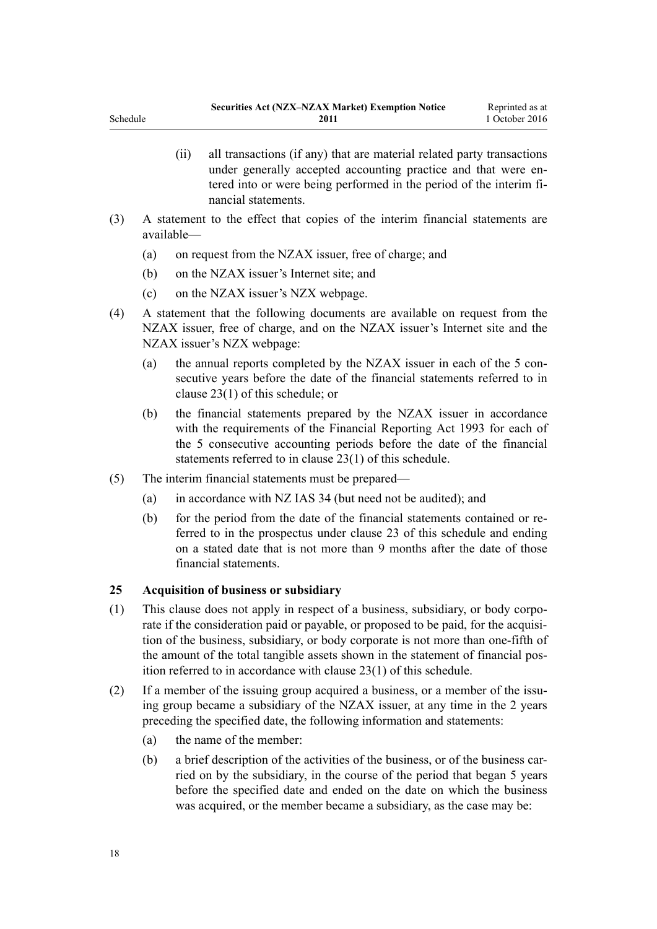|     | (11) | all transactions (if any) that are material related party transactions<br>under generally accepted accounting practice and that were en-<br>tered into or were being performed in the period of the interim fi-<br>nancial statements. |
|-----|------|----------------------------------------------------------------------------------------------------------------------------------------------------------------------------------------------------------------------------------------|
| (3) |      | A statement to the effect that conjes of the interim financial statements are                                                                                                                                                          |

- (3) A statement to the effect that copies of the interim financial statements are available—
	- (a) on request from the NZAX issuer, free of charge; and
	- (b) on the NZAX issuer's Internet site; and
	- (c) on the NZAX issuer's NZX webpage.
- (4) A statement that the following documents are available on request from the NZAX issuer, free of charge, and on the NZAX issuer's Internet site and the NZAX issuer's NZX webpage:
	- (a) the annual reports completed by the NZAX issuer in each of the 5 consecutive years before the date of the financial statements referred to in [clause 23\(1\)](#page-16-0) of this schedule; or
	- (b) the financial statements prepared by the NZAX issuer in accordance with the requirements of the [Financial Reporting Act 1993](http://prd-lgnz-nlb.prd.pco.net.nz/pdflink.aspx?id=DLM323597) for each of the 5 consecutive accounting periods before the date of the financial statements referred to in [clause 23\(1\)](#page-16-0) of this schedule.
- (5) The interim financial statements must be prepared—
	- (a) in accordance with NZ IAS 34 (but need not be audited); and
	- (b) for the period from the date of the financial statements contained or referred to in the prospectus under [clause 23](#page-16-0) of this schedule and ending on a stated date that is not more than 9 months after the date of those financial statements.

#### **25 Acquisition of business or subsidiary**

- (1) This clause does not apply in respect of a business, subsidiary, or body corporate if the consideration paid or payable, or proposed to be paid, for the acquisition of the business, subsidiary, or body corporate is not more than one-fifth of the amount of the total tangible assets shown in the statement of financial position referred to in accordance with [clause 23\(1\)](#page-16-0) of this schedule.
- (2) If a member of the issuing group acquired a business, or a member of the issuing group became a subsidiary of the NZAX issuer, at any time in the 2 years preceding the specified date, the following information and statements:
	- (a) the name of the member:
	- (b) a brief description of the activities of the business, or of the business carried on by the subsidiary, in the course of the period that began 5 years before the specified date and ended on the date on which the business was acquired, or the member became a subsidiary, as the case may be:

<span id="page-17-0"></span>Schedule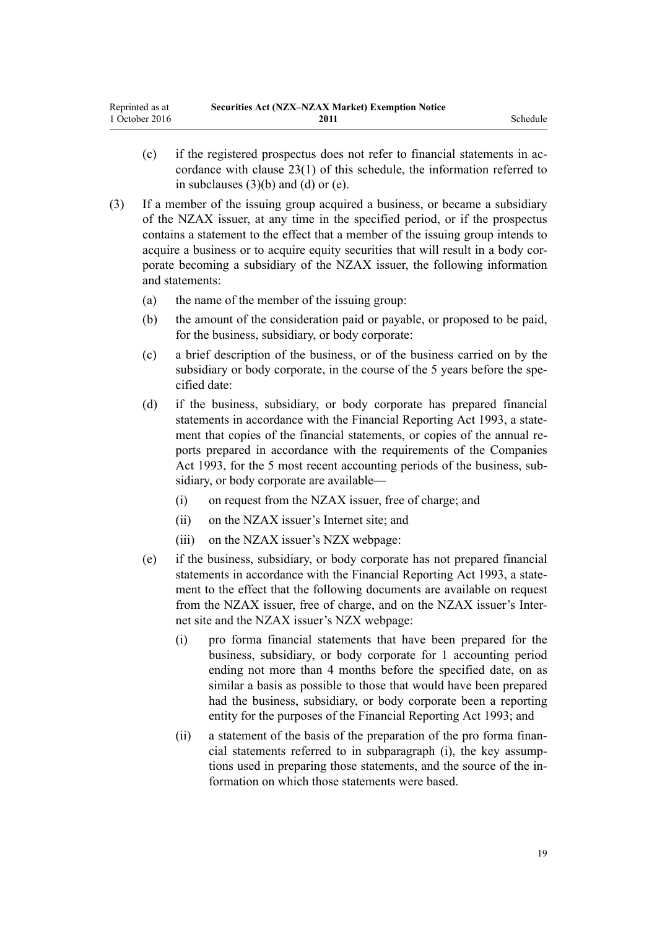- (c) if the registered prospectus does not refer to financial statements in accordance with [clause 23\(1\)](#page-16-0) of this schedule, the information referred to in subclauses  $(3)(b)$  and  $(d)$  or  $(e)$ .
- (3) If a member of the issuing group acquired a business, or became a subsidiary of the NZAX issuer, at any time in the specified period, or if the prospectus contains a statement to the effect that a member of the issuing group intends to acquire a business or to acquire equity securities that will result in a body corporate becoming a subsidiary of the NZAX issuer, the following information and statements:
	- (a) the name of the member of the issuing group:
	- (b) the amount of the consideration paid or payable, or proposed to be paid, for the business, subsidiary, or body corporate:
	- (c) a brief description of the business, or of the business carried on by the subsidiary or body corporate, in the course of the 5 years before the specified date:
	- (d) if the business, subsidiary, or body corporate has prepared financial statements in accordance with the [Financial Reporting Act 1993,](http://prd-lgnz-nlb.prd.pco.net.nz/pdflink.aspx?id=DLM323597) a statement that copies of the financial statements, or copies of the annual reports prepared in accordance with the requirements of the [Companies](http://prd-lgnz-nlb.prd.pco.net.nz/pdflink.aspx?id=DLM319569) [Act 1993](http://prd-lgnz-nlb.prd.pco.net.nz/pdflink.aspx?id=DLM319569), for the 5 most recent accounting periods of the business, subsidiary, or body corporate are available—
		- (i) on request from the NZAX issuer, free of charge; and
		- (ii) on the NZAX issuer's Internet site; and
		- (iii) on the NZAX issuer's NZX webpage:
	- (e) if the business, subsidiary, or body corporate has not prepared financial statements in accordance with the [Financial Reporting Act 1993,](http://prd-lgnz-nlb.prd.pco.net.nz/pdflink.aspx?id=DLM323597) a statement to the effect that the following documents are available on request from the NZAX issuer, free of charge, and on the NZAX issuer's Internet site and the NZAX issuer's NZX webpage:
		- (i) pro forma financial statements that have been prepared for the business, subsidiary, or body corporate for 1 accounting period ending not more than 4 months before the specified date, on as similar a basis as possible to those that would have been prepared had the business, subsidiary, or body corporate been a reporting entity for the purposes of the [Financial Reporting Act 1993;](http://prd-lgnz-nlb.prd.pco.net.nz/pdflink.aspx?id=DLM323597) and
		- (ii) a statement of the basis of the preparation of the pro forma financial statements referred to in subparagraph (i), the key assumptions used in preparing those statements, and the source of the information on which those statements were based.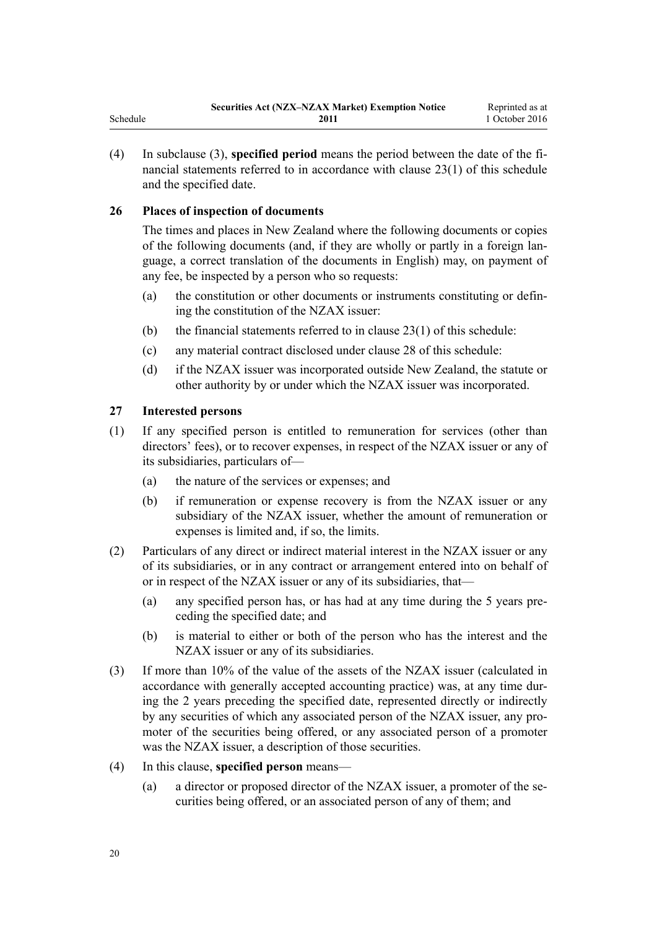<span id="page-19-0"></span>(4) In subclause (3), **specified period** means the period between the date of the financial statements referred to in accordance with [clause 23\(1\)](#page-16-0) of this schedule and the specified date.

# **26 Places of inspection of documents**

The times and places in New Zealand where the following documents or copies of the following documents (and, if they are wholly or partly in a foreign language, a correct translation of the documents in English) may, on payment of any fee, be inspected by a person who so requests:

- (a) the constitution or other documents or instruments constituting or defining the constitution of the NZAX issuer:
- (b) the financial statements referred to in clause  $23(1)$  of this schedule:
- (c) any material contract disclosed under [clause 28](#page-20-0) of this schedule:
- (d) if the NZAX issuer was incorporated outside New Zealand, the statute or other authority by or under which the NZAX issuer was incorporated.

#### **27 Interested persons**

- (1) If any specified person is entitled to remuneration for services (other than directors' fees), or to recover expenses, in respect of the NZAX issuer or any of its subsidiaries, particulars of—
	- (a) the nature of the services or expenses; and
	- (b) if remuneration or expense recovery is from the NZAX issuer or any subsidiary of the NZAX issuer, whether the amount of remuneration or expenses is limited and, if so, the limits.
- (2) Particulars of any direct or indirect material interest in the NZAX issuer or any of its subsidiaries, or in any contract or arrangement entered into on behalf of or in respect of the NZAX issuer or any of its subsidiaries, that—
	- (a) any specified person has, or has had at any time during the 5 years preceding the specified date; and
	- (b) is material to either or both of the person who has the interest and the NZAX issuer or any of its subsidiaries.
- (3) If more than 10% of the value of the assets of the NZAX issuer (calculated in accordance with generally accepted accounting practice) was, at any time during the 2 years preceding the specified date, represented directly or indirectly by any securities of which any associated person of the NZAX issuer, any promoter of the securities being offered, or any associated person of a promoter was the NZAX issuer, a description of those securities.
- (4) In this clause, **specified person** means—
	- (a) a director or proposed director of the NZAX issuer, a promoter of the securities being offered, or an associated person of any of them; and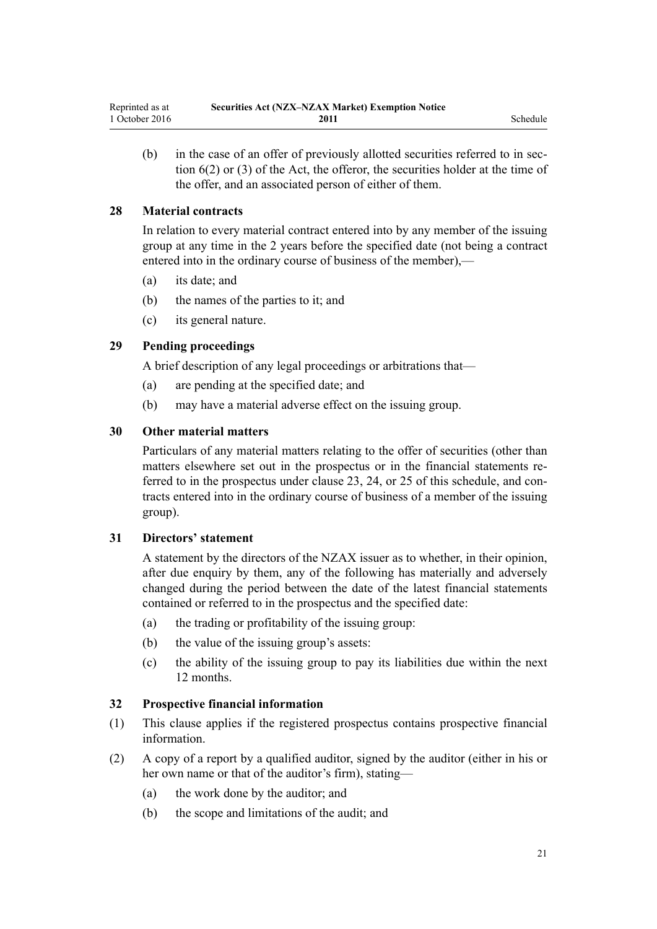- 
- <span id="page-20-0"></span>(b) in the case of an offer of previously allotted securities referred to in [sec](http://prd-lgnz-nlb.prd.pco.net.nz/pdflink.aspx?id=DLM27561)[tion 6\(2\) or \(3\)](http://prd-lgnz-nlb.prd.pco.net.nz/pdflink.aspx?id=DLM27561) of the Act, the offeror, the securities holder at the time of the offer, and an associated person of either of them.

## **28 Material contracts**

In relation to every material contract entered into by any member of the issuing group at any time in the 2 years before the specified date (not being a contract entered into in the ordinary course of business of the member),—

- (a) its date; and
- (b) the names of the parties to it; and
- (c) its general nature.

# **29 Pending proceedings**

A brief description of any legal proceedings or arbitrations that—

- (a) are pending at the specified date; and
- (b) may have a material adverse effect on the issuing group.

# **30 Other material matters**

Particulars of any material matters relating to the offer of securities (other than matters elsewhere set out in the prospectus or in the financial statements referred to in the prospectus under [clause 23](#page-16-0), [24,](#page-16-0) or [25](#page-17-0) of this schedule, and contracts entered into in the ordinary course of business of a member of the issuing group).

#### **31 Directors' statement**

A statement by the directors of the NZAX issuer as to whether, in their opinion, after due enquiry by them, any of the following has materially and adversely changed during the period between the date of the latest financial statements contained or referred to in the prospectus and the specified date:

- (a) the trading or profitability of the issuing group:
- (b) the value of the issuing group's assets:
- (c) the ability of the issuing group to pay its liabilities due within the next 12 months.

#### **32 Prospective financial information**

- (1) This clause applies if the registered prospectus contains prospective financial information.
- (2) A copy of a report by a qualified auditor, signed by the auditor (either in his or her own name or that of the auditor's firm), stating—
	- (a) the work done by the auditor; and
	- (b) the scope and limitations of the audit; and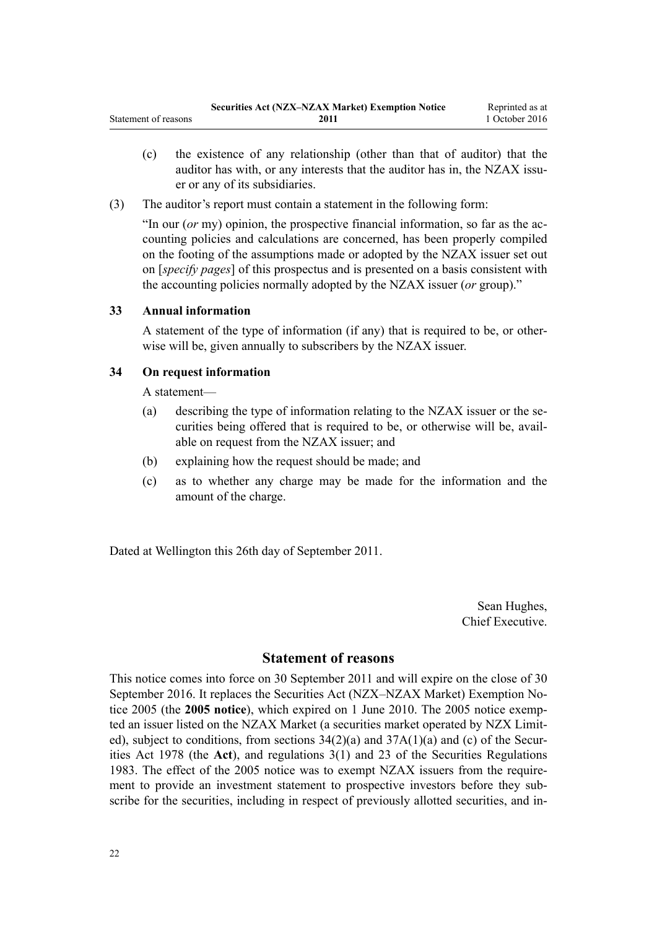- <span id="page-21-0"></span>(c) the existence of any relationship (other than that of auditor) that the auditor has with, or any interests that the auditor has in, the NZAX issuer or any of its subsidiaries.
- (3) The auditor's report must contain a statement in the following form:

"In our (*or* my) opinion, the prospective financial information, so far as the accounting policies and calculations are concerned, has been properly compiled on the footing of the assumptions made or adopted by the NZAX issuer set out on [*specify pages*] of this prospectus and is presented on a basis consistent with the accounting policies normally adopted by the NZAX issuer (*or* group)."

## **33 Annual information**

A statement of the type of information (if any) that is required to be, or otherwise will be, given annually to subscribers by the NZAX issuer.

## **34 On request information**

A statement—

- (a) describing the type of information relating to the NZAX issuer or the securities being offered that is required to be, or otherwise will be, available on request from the NZAX issuer; and
- (b) explaining how the request should be made; and
- (c) as to whether any charge may be made for the information and the amount of the charge.

Dated at Wellington this 26th day of September 2011.

Sean Hughes, Chief Executive.

# **Statement of reasons**

This notice comes into force on 30 September 2011 and will expire on the close of 30 September 2016. It replaces the [Securities Act \(NZX–NZAX Market\) Exemption No](http://prd-lgnz-nlb.prd.pco.net.nz/pdflink.aspx?id=DLM330817)[tice 2005](http://prd-lgnz-nlb.prd.pco.net.nz/pdflink.aspx?id=DLM330817) (the **2005 notice**), which expired on 1 June 2010. The 2005 notice exempted an issuer listed on the NZAX Market (a securities market operated by NZX Limited), subject to conditions, from sections  $34(2)(a)$  and  $37A(1)(a)$  and (c) of the Securities Act 1978 (the **Act**), and [regulations 3\(1\)](http://prd-lgnz-nlb.prd.pco.net.nz/pdflink.aspx?id=DLM86320) and [23](http://prd-lgnz-nlb.prd.pco.net.nz/pdflink.aspx?id=DLM86380) of the Securities Regulations 1983. The effect of the 2005 notice was to exempt NZAX issuers from the requirement to provide an investment statement to prospective investors before they subscribe for the securities, including in respect of previously allotted securities, and in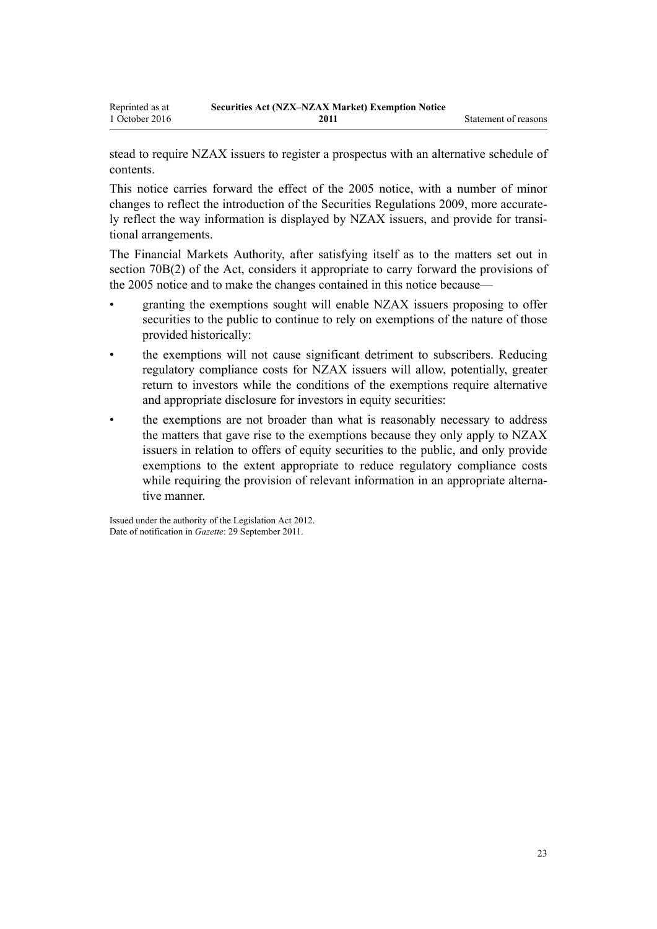stead to require NZAX issuers to register a prospectus with an alternative schedule of contents.

This notice carries forward the effect of the [2005 notice,](http://prd-lgnz-nlb.prd.pco.net.nz/pdflink.aspx?id=DLM330817) with a number of minor changes to reflect the introduction of the [Securities Regulations 2009,](http://prd-lgnz-nlb.prd.pco.net.nz/pdflink.aspx?id=DLM2291142) more accurately reflect the way information is displayed by NZAX issuers, and provide for transitional arrangements.

The Financial Markets Authority, after satisfying itself as to the matters set out in [section 70B\(2\)](http://prd-lgnz-nlb.prd.pco.net.nz/pdflink.aspx?id=DLM3727623) of the Act, considers it appropriate to carry forward the provisions of the [2005 notice](http://prd-lgnz-nlb.prd.pco.net.nz/pdflink.aspx?id=DLM3727623) and to make the changes contained in this notice because—

- granting the exemptions sought will enable NZAX issuers proposing to offer securities to the public to continue to rely on exemptions of the nature of those provided historically:
- the exemptions will not cause significant detriment to subscribers. Reducing regulatory compliance costs for NZAX issuers will allow, potentially, greater return to investors while the conditions of the exemptions require alternative and appropriate disclosure for investors in equity securities:
- the exemptions are not broader than what is reasonably necessary to address the matters that gave rise to the exemptions because they only apply to NZAX issuers in relation to offers of equity securities to the public, and only provide exemptions to the extent appropriate to reduce regulatory compliance costs while requiring the provision of relevant information in an appropriate alternative manner.

Issued under the authority of the [Legislation Act 2012](http://prd-lgnz-nlb.prd.pco.net.nz/pdflink.aspx?id=DLM2997643). Date of notification in *Gazette*: 29 September 2011.